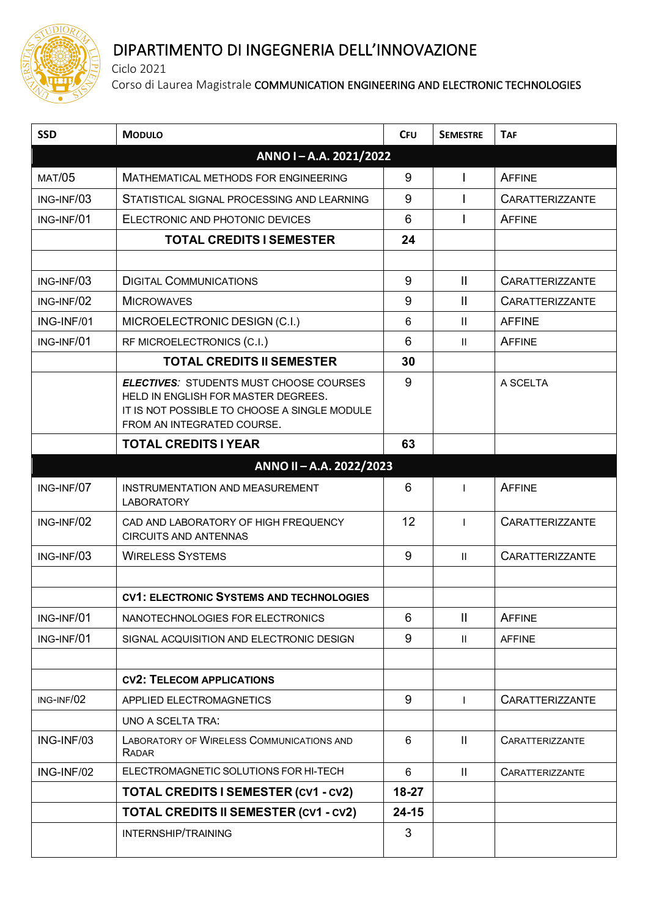

## DIPARTIMENTO DI INGEGNERIA DELL'INNOVAZIONE

Ciclo 2021

Corso di Laurea Magistrale COMMUNICATION ENGINEERING AND ELECTRONIC TECHNOLOGIES

| <b>SSD</b>            | <b>MODULO</b>                                                                                                                                                       | <b>CFU</b>      | <b>SEMESTRE</b> | <b>TAF</b>             |  |
|-----------------------|---------------------------------------------------------------------------------------------------------------------------------------------------------------------|-----------------|-----------------|------------------------|--|
| ANNO I-A.A. 2021/2022 |                                                                                                                                                                     |                 |                 |                        |  |
| <b>MAT/05</b>         | MATHEMATICAL METHODS FOR ENGINEERING                                                                                                                                | 9               | $\mathbf{I}$    | AFFINE                 |  |
| ING-INF/03            | STATISTICAL SIGNAL PROCESSING AND LEARNING                                                                                                                          | 9               |                 | <b>CARATTERIZZANTE</b> |  |
| ING-INF/01            | ELECTRONIC AND PHOTONIC DEVICES                                                                                                                                     | 6               |                 | AFFINE                 |  |
|                       | <b>TOTAL CREDITS I SEMESTER</b>                                                                                                                                     | 24              |                 |                        |  |
|                       |                                                                                                                                                                     |                 |                 |                        |  |
| ING-INF/03            | <b>DIGITAL COMMUNICATIONS</b>                                                                                                                                       | 9               | $\mathbf{H}$    | <b>CARATTERIZZANTE</b> |  |
| ING-INF/02            | <b>MICROWAVES</b>                                                                                                                                                   | 9               | $\mathbf{I}$    | <b>CARATTERIZZANTE</b> |  |
| ING-INF/01            | MICROELECTRONIC DESIGN (C.I.)                                                                                                                                       | 6               | $\mathbf{II}$   | <b>AFFINE</b>          |  |
| ING-INF/01            | RF MICROELECTRONICS (C.I.)                                                                                                                                          | $6\phantom{1}6$ | $\mathbf{II}$   | AFFINE                 |  |
|                       | <b>TOTAL CREDITS II SEMESTER</b>                                                                                                                                    | 30              |                 |                        |  |
|                       | <b>ELECTIVES: STUDENTS MUST CHOOSE COURSES</b><br>HELD IN ENGLISH FOR MASTER DEGREES.<br>IT IS NOT POSSIBLE TO CHOOSE A SINGLE MODULE<br>FROM AN INTEGRATED COURSE. | 9               |                 | A SCELTA               |  |
|                       | <b>TOTAL CREDITS I YEAR</b>                                                                                                                                         | 63              |                 |                        |  |
|                       | ANNO II - A.A. 2022/2023                                                                                                                                            |                 |                 |                        |  |
| ING-INF/07            | INSTRUMENTATION AND MEASUREMENT<br><b>LABORATORY</b>                                                                                                                | 6               |                 | <b>AFFINE</b>          |  |
| ING-INF/02            | CAD AND LABORATORY OF HIGH FREQUENCY<br><b>CIRCUITS AND ANTENNAS</b>                                                                                                | 12              |                 | <b>CARATTERIZZANTE</b> |  |
| ING-INF/03            | <b>WIRELESS SYSTEMS</b>                                                                                                                                             | 9               | $\mathbf{H}$    | <b>CARATTERIZZANTE</b> |  |
|                       | <b>CV1: ELECTRONIC SYSTEMS AND TECHNOLOGIES</b>                                                                                                                     |                 |                 |                        |  |
| ING-INF/01            | NANOTECHNOLOGIES FOR ELECTRONICS                                                                                                                                    | 6               | $\mathbf{H}$    | <b>AFFINE</b>          |  |
| ING-INF/01            | SIGNAL ACQUISITION AND ELECTRONIC DESIGN                                                                                                                            | 9               | Ш.              | <b>AFFINE</b>          |  |
|                       |                                                                                                                                                                     |                 |                 |                        |  |
|                       | <b>CV2: TELECOM APPLICATIONS</b>                                                                                                                                    |                 |                 |                        |  |
| ING-INF/02            | APPLIED ELECTROMAGNETICS                                                                                                                                            | 9               | $\mathsf{I}$    | <b>CARATTERIZZANTE</b> |  |
|                       | UNO A SCELTA TRA:                                                                                                                                                   |                 |                 |                        |  |
| ING-INF/03            | <b>LABORATORY OF WIRELESS COMMUNICATIONS AND</b><br>RADAR                                                                                                           | 6               | $\mathbf{II}$   | CARATTERIZZANTE        |  |
| ING-INF/02            | ELECTROMAGNETIC SOLUTIONS FOR HI-TECH                                                                                                                               | 6               | $\mathbf{H}$    | <b>CARATTERIZZANTE</b> |  |
|                       | <b>TOTAL CREDITS I SEMESTER (CV1 - CV2)</b>                                                                                                                         | $18-27$         |                 |                        |  |
|                       | <b>TOTAL CREDITS II SEMESTER (CV1 - CV2)</b>                                                                                                                        | $24 - 15$       |                 |                        |  |
|                       | INTERNSHIP/TRAINING                                                                                                                                                 | 3               |                 |                        |  |